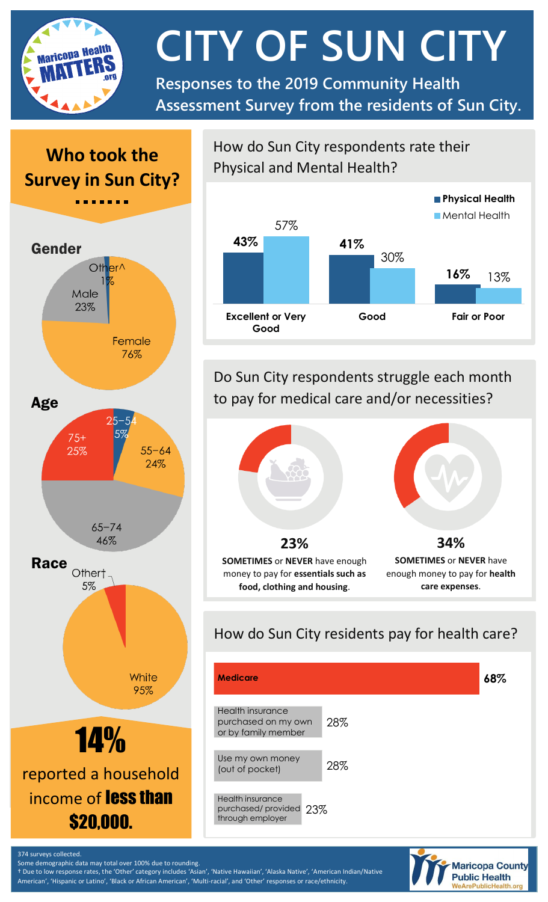

**CITY OF SUN CITY**

**Responses to the 2019 Community Health Assessment Survey from the residents of Sun City.**

# **Who took the Survey in Sun City?**



### How do Sun City respondents rate their Physical and Mental Health?



## Do Sun City respondents struggle each month to pay for medical care and/or necessities?



# How do Sun City residents pay for health care?





Some demographic data may total over 100% due to rounding.

† Due to low response rates, the 'Other' category includes 'Asian', 'Native Hawaiian', 'Alaska Native', 'American Indian/Native American', 'Hispanic or Latino', 'Black or African American', 'Multi-racial', and 'Other' responses or race/ethnicity.